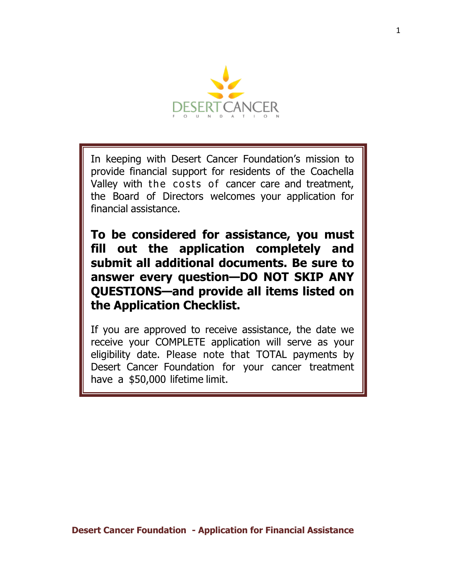

In keeping with Desert Cancer Foundation's mission to provide financial support for residents of the Coachella Valley with the costs of cancer care and treatment, the Board of Directors welcomes your application for financial assistance.

**To be considered for assistance, you must fill out the application completely and submit all additional documents. Be sure to answer every question—DO NOT SKIP ANY QUESTIONS—and provide all items listed on the Application Checklist.**

If you are approved to receive assistance, the date we receive your COMPLETE application will serve as your eligibility date. Please note that TOTAL payments by Desert Cancer Foundation for your cancer treatment have a \$50,000 lifetime limit.

**Desert Cancer Foundation - Application for Financial Assistance**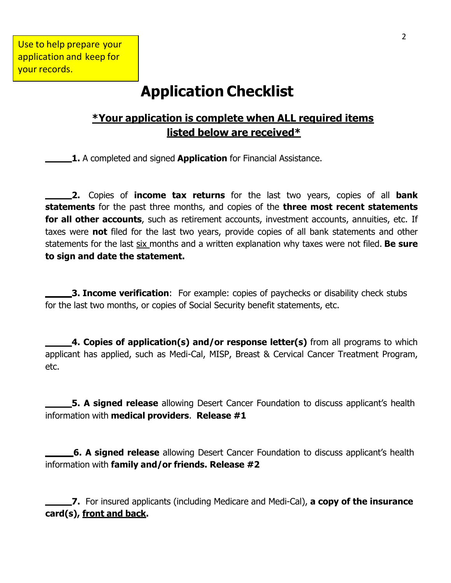# **Application Checklist**

# **\*Your application is complete when ALL required items listed below are received\***

**1.** A completed and signed **Application** for Financial Assistance.

**2.** Copies of **income tax returns** for the last two years, copies of all **bank statements** for the past three months, and copies of the **three most recent statements for all other accounts**, such as retirement accounts, investment accounts, annuities, etc. If taxes were **not** filed for the last two years, provide copies of all bank statements and other statements for the last six months and a written explanation why taxes were not filed. **Be sure to sign and date the statement.**

**3. Income verification**: For example: copies of paychecks or disability check stubs for the last two months, or copies of Social Security benefit statements, etc.

**4. Copies of application(s) and/or response letter(s)** from all programs to which applicant has applied, such as Medi-Cal, MISP, Breast & Cervical Cancer Treatment Program, etc.

**5. A signed release** allowing Desert Cancer Foundation to discuss applicant's health information with **medical providers**. **Release #1**

**6. A signed release** allowing Desert Cancer Foundation to discuss applicant's health information with **family and/or friends. Release #2**

**7.** For insured applicants (including Medicare and Medi-Cal), **a copy of the insurance card(s), front and back.**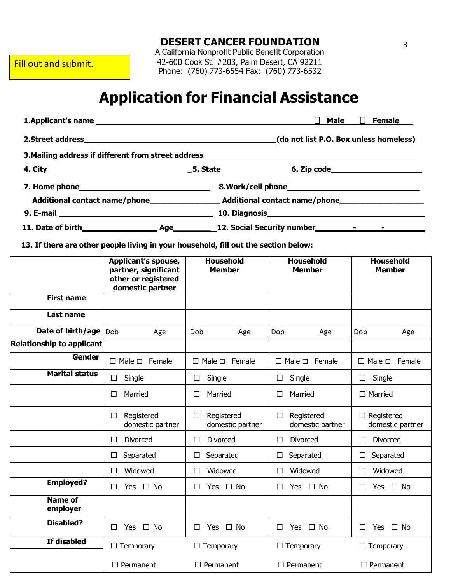Fill out and submit.

**DESERT CANCER FOUNDATION**

A California Nonprofit Public Benefit Corporation 42-600 Cook St. #203, Palm Desert, CA 92211 Phone: (760) 773-6554 Fax: (760) 773-6532

# **Application for Financial Assistance**

| 1. Applicant's name | $\Box$ Female<br>Male                  |
|---------------------|----------------------------------------|
|                     |                                        |
| 2.Street address_   | (do not list P.O. Box unless homeless) |

**3.Mailing address if different from street address** 

|                                                                                                                                                                                                                                      |            | 5. State_________________     |       |  |
|--------------------------------------------------------------------------------------------------------------------------------------------------------------------------------------------------------------------------------------|------------|-------------------------------|-------|--|
|                                                                                                                                                                                                                                      |            |                               |       |  |
| Additional contact name/phone                                                                                                                                                                                                        |            | Additional contact name/phone |       |  |
|                                                                                                                                                                                                                                      |            |                               |       |  |
| 11. Date of birth <b>the contract of the contract of the contract of the contract of the contract of the contract of the contract of the contract of the contract of the contract of the contract of the contract of the contrac</b> | <b>Age</b> | 12. Social Security number    | $  -$ |  |

**13. If there are other people living in your household, fill out the section below:**

|                            | Applicant's spouse,<br>partner, significant<br>other or registered<br>domestic partner | <b>Household</b><br><b>Member</b>        | <b>Household</b><br><b>Member</b>        | <b>Household</b><br><b>Member</b>     |
|----------------------------|----------------------------------------------------------------------------------------|------------------------------------------|------------------------------------------|---------------------------------------|
| <b>First name</b>          |                                                                                        |                                          |                                          |                                       |
| <b>Last name</b>           |                                                                                        |                                          |                                          |                                       |
| Date of birth/age          | Dob<br>Age                                                                             | Dob<br>Age                               | Dob<br>Age                               | Dob<br>Age                            |
| Relationship to applicant  |                                                                                        |                                          |                                          |                                       |
| <b>Gender</b>              | Female<br>$\Box$ Male $\Box$                                                           | Female<br>$\Box$ Male $\Box$             | Female<br>Male $\Box$<br>$\Box$          | Female<br>$\square$ Male $\square$    |
| <b>Marital status</b>      | Single<br>$\Box$                                                                       | Single<br>П                              | Single<br>$\Box$                         | Single<br>$\Box$                      |
|                            | Married<br>$\Box$                                                                      | Married<br>$\Box$                        | Married<br>$\Box$                        | $\Box$ Married                        |
|                            | Registered<br>$\Box$<br>domestic partner                                               | Registered<br>$\Box$<br>domestic partner | Registered<br>$\Box$<br>domestic partner | $\Box$ Registered<br>domestic partner |
|                            | <b>Divorced</b><br>$\Box$                                                              | <b>Divorced</b><br>П                     | <b>Divorced</b><br>□                     | <b>Divorced</b><br>$\Box$             |
|                            | Separated<br>$\Box$                                                                    | Separated<br>$\Box$                      | Separated<br>□                           | Separated<br>$\Box$                   |
|                            | Widowed<br>$\Box$                                                                      | Widowed<br>П                             | Widowed<br>$\Box$                        | Widowed<br>$\Box$                     |
| <b>Employed?</b>           | $\Box$ No<br>Yes<br>$\Box$                                                             | $\Box$ No<br>Yes<br>П                    | $\Box$ No<br><b>Yes</b><br>□             | $\Box$ No<br>$\Box$<br>Yes            |
| <b>Name of</b><br>employer |                                                                                        |                                          |                                          |                                       |
| <b>Disabled?</b>           | Yes<br>$\Box$ No<br>$\Box$                                                             | Yes<br>$\Box$ No<br>П                    | Yes<br>$\Box$ No<br>П                    | Yes<br>$\Box$ No<br>$\Box$            |
| If disabled                | $\Box$ Temporary                                                                       | $\Box$ Temporary                         | $\Box$ Temporary                         | $\Box$ Temporary                      |
|                            | $\Box$ Permanent                                                                       | $\Box$ Permanent                         | $\Box$ Permanent                         | $\Box$ Permanent                      |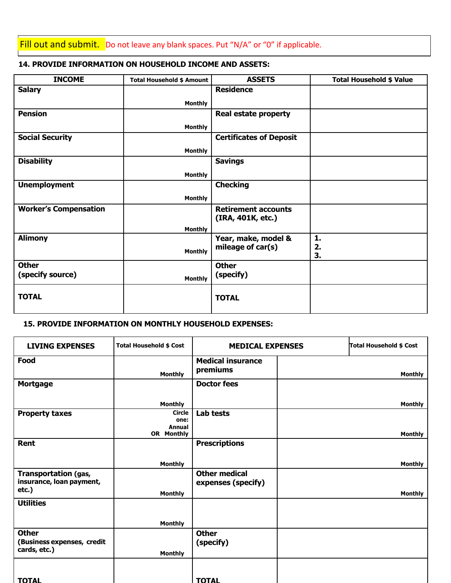Fill out and submit. Do not leave any blank spaces. Put "N/A" or "0" if applicable.

#### **14. PROVIDE INFORMATION ON HOUSEHOLD INCOME AND ASSETS:**

| <b>INCOME</b>                | <b>Total Household \$ Amount</b> | <b>ASSETS</b>                                   | <b>Total Household \$ Value</b> |
|------------------------------|----------------------------------|-------------------------------------------------|---------------------------------|
| <b>Salary</b>                |                                  | <b>Residence</b>                                |                                 |
|                              | <b>Monthly</b>                   |                                                 |                                 |
| <b>Pension</b>               |                                  | <b>Real estate property</b>                     |                                 |
|                              | <b>Monthly</b>                   |                                                 |                                 |
| <b>Social Security</b>       |                                  | <b>Certificates of Deposit</b>                  |                                 |
|                              | <b>Monthly</b>                   |                                                 |                                 |
| <b>Disability</b>            |                                  | <b>Savings</b>                                  |                                 |
|                              | <b>Monthly</b>                   |                                                 |                                 |
| <b>Unemployment</b>          |                                  | <b>Checking</b>                                 |                                 |
|                              | <b>Monthly</b>                   |                                                 |                                 |
| <b>Worker's Compensation</b> |                                  | <b>Retirement accounts</b><br>(IRA, 401K, etc.) |                                 |
|                              | <b>Monthly</b>                   |                                                 |                                 |
| <b>Alimony</b>               |                                  | Year, make, model &                             | 1.                              |
|                              | <b>Monthly</b>                   | mileage of car(s)                               | 2.<br>3.                        |
| <b>Other</b>                 |                                  | <b>Other</b>                                    |                                 |
| (specify source)             | <b>Monthly</b>                   | (specify)                                       |                                 |
| <b>TOTAL</b>                 |                                  | <b>TOTAL</b>                                    |                                 |

#### **15. PROVIDE INFORMATION ON MONTHLY HOUSEHOLD EXPENSES:**

| <b>LIVING EXPENSES</b>                                           | <b>Total Household \$ Cost</b>         | <b>MEDICAL EXPENSES</b>                    | <b>Total Household \$ Cost</b> |
|------------------------------------------------------------------|----------------------------------------|--------------------------------------------|--------------------------------|
| Food                                                             | <b>Monthly</b>                         | <b>Medical insurance</b><br>premiums       | <b>Monthly</b>                 |
| <b>Mortgage</b>                                                  |                                        | <b>Doctor fees</b>                         |                                |
|                                                                  | <b>Monthly</b>                         |                                            | <b>Monthly</b>                 |
| <b>Property taxes</b>                                            | <b>Circle</b><br>one:<br><b>Annual</b> | Lab tests                                  |                                |
|                                                                  | OR Monthly                             |                                            | <b>Monthly</b>                 |
| Rent                                                             |                                        | <b>Prescriptions</b>                       |                                |
|                                                                  | <b>Monthly</b>                         |                                            | <b>Monthly</b>                 |
| <b>Transportation (gas,</b><br>insurance, loan payment,<br>etc.) | <b>Monthly</b>                         | <b>Other medical</b><br>expenses (specify) | <b>Monthly</b>                 |
| <b>Utilities</b>                                                 |                                        |                                            |                                |
|                                                                  | <b>Monthly</b>                         |                                            |                                |
| <b>Other</b><br>(Business expenses, credit<br>cards, etc.)       | <b>Monthly</b>                         | <b>Other</b><br>(specify)                  |                                |
| <b>TOTAL</b>                                                     |                                        | <b>TOTAL</b>                               |                                |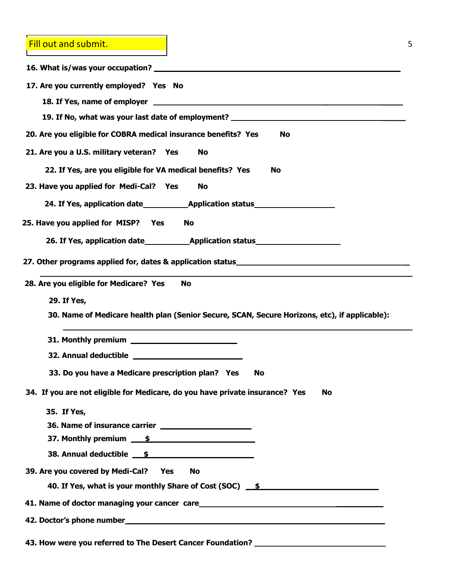Fill out and submit.

| 17. Are you currently employed? Yes No                                                        |
|-----------------------------------------------------------------------------------------------|
|                                                                                               |
| 19. If No, what was your last date of employment? ______________________________              |
| 20. Are you eligible for COBRA medical insurance benefits? Yes<br>No                          |
| 21. Are you a U.S. military veteran? Yes<br><b>No</b>                                         |
| 22. If Yes, are you eligible for VA medical benefits? Yes<br><b>No</b>                        |
| 23. Have you applied for Medi-Cal? Yes<br>No                                                  |
|                                                                                               |
| 25. Have you applied for MISP? Yes<br><b>No</b>                                               |
|                                                                                               |
| 27. Other programs applied for, dates & application status_______________________             |
|                                                                                               |
| 28. Are you eligible for Medicare? Yes<br><b>No</b>                                           |
| 29. If Yes,                                                                                   |
| 30. Name of Medicare health plan (Senior Secure, SCAN, Secure Horizons, etc), if applicable): |
|                                                                                               |
|                                                                                               |
| 33. Do you have a Medicare prescription plan? Yes<br><b>No</b>                                |
| 34. If you are not eligible for Medicare, do you have private insurance? Yes<br>No            |
| 35. If Yes,                                                                                   |
|                                                                                               |
| 37. Monthly premium <u>\$</u>                                                                 |
| 38. Annual deductible<br><u>5</u>                                                             |
| 39. Are you covered by Medi-Cal? Yes<br>No                                                    |
| 40. If Yes, what is your monthly Share of Cost (SOC) 5                                        |
| 41. Name of doctor managing your cancer care<br><u>Late and announcements</u>                 |
|                                                                                               |
| 43. How were you referred to The Desert Cancer Foundation?                                    |
|                                                                                               |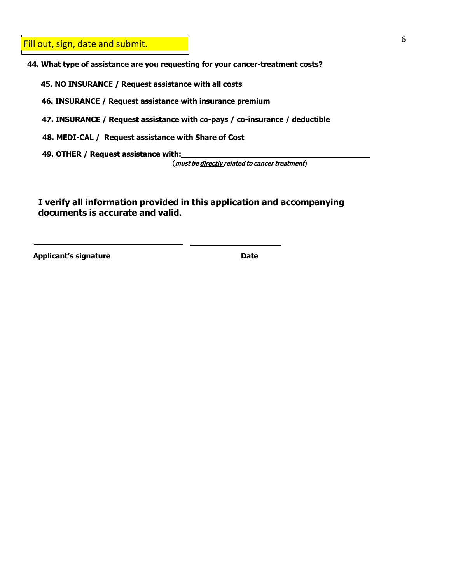Fill out, sign, date and submit.

**44. What type of assistance are you requesting for your cancer-treatment costs?**

**45. NO INSURANCE / Request assistance with all costs**

**46. INSURANCE / Request assistance with insurance premium**

**47. INSURANCE / Request assistance with co-pays / co-insurance / deductible**

**48. MEDI-CAL / Request assistance with Share of Cost**

**49. OTHER / Request assistance with:**

(**must be directly related to cancer treatment**)

**I verify all information provided in this application and accompanying documents is accurate and valid.**

**Applicant's signature Date**

\_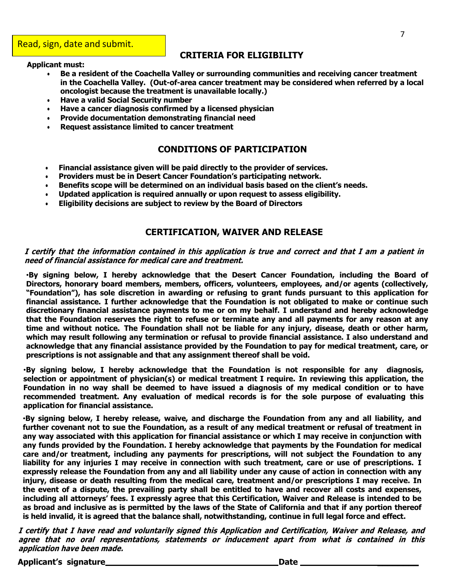### **CRITERIA FOR ELIGIBILITY**

#### **Applicant must:**

- **Be a resident of the Coachella Valley or surrounding communities and receiving cancer treatment in the Coachella Valley. (Out-of-area cancer treatment may be considered when referred by a local oncologist because the treatment is unavailable locally.)**
- **Have a valid Social Security number**
- **Have a cancer diagnosis confirmed by a licensed physician**
- **Provide documentation demonstrating financial need**
- **Request assistance limited to cancer treatment**

### **CONDITIONS OF PARTICIPATION**

- **Financial assistance given will be paid directly to the provider of services.**
- **Providers must be in Desert Cancer Foundation's participating network.**
- **Benefits scope will be determined on an individual basis based on the client's needs.**
- **Updated application is required annually or upon request to assess eligibility.**
- **Eligibility decisions are subject to review by the Board of Directors**

#### **CERTIFICATION, WAIVER AND RELEASE**

#### I certify that the information contained in this application is true and correct and that I am a patient in **need of financial assistance for medical care and treatment.**

•**By signing below, I hereby acknowledge that the Desert Cancer Foundation, including the Board of Directors, honorary board members, members, officers, volunteers, employees, and/or agents (collectively, "Foundation"), has sole discretion in awarding or refusing to grant funds pursuant to this application for financial assistance. I further acknowledge that the Foundation is not obligated to make or continue such discretionary financial assistance payments to me or on my behalf. I understand and hereby acknowledge** that the Foundation reserves the right to refuse or terminate any and all payments for any reason at any time and without notice. The Foundation shall not be liable for any injury, disease, death or other harm, **which may result following any termination or refusal to provide financial assistance. I also understand and acknowledge that any financial assistance provided by the Foundation to pay for medical treatment, care, or prescriptions is not assignable and that any assignment thereof shall be void.**

•**By signing below, I hereby acknowledge that the Foundation is not responsible for any diagnosis, selection or appointment of physician(s) or medical treatment I require. In reviewing this application, the** Foundation in no way shall be deemed to have issued a diagnosis of my medical condition or to have **recommended treatment. Any evaluation of medical records is for the sole purpose of evaluating this application for financial assistance.**

•**By signing below, I hereby release, waive, and discharge the Foundation from any and all liability, and** further covenant not to sue the Foundation, as a result of any medical treatment or refusal of treatment in any way associated with this application for financial assistance or which I may receive in conjunction with **any funds provided by the Foundation. I hereby acknowledge that payments by the Foundation for medical care and/or treatment, including any payments for prescriptions, will not subject the Foundation to any** liability for any injuries I may receive in connection with such treatment, care or use of prescriptions. I **expressly release the Foundation from any and all liability under any cause of action in connection with any injury, disease or death resulting from the medical care, treatment and/or prescriptions I may receive. In** the event of a dispute, the prevailing party shall be entitled to have and recover all costs and expenses, including all attorneys' fees. I expressly agree that this Certification, Waiver and Release is intended to be as broad and inclusive as is permitted by the laws of the State of California and that if any portion thereof **is held invalid, it is agreed that the balance shall, notwithstanding, continue in full legal force and effect.**

I certify that I have read and voluntarily signed this Application and Certification, Waiver and Release, and **agree that no oral representations, statements or inducement apart from what is contained in this application have been made.**

**Applicant's signature Date \_\_\_\_\_\_\_\_**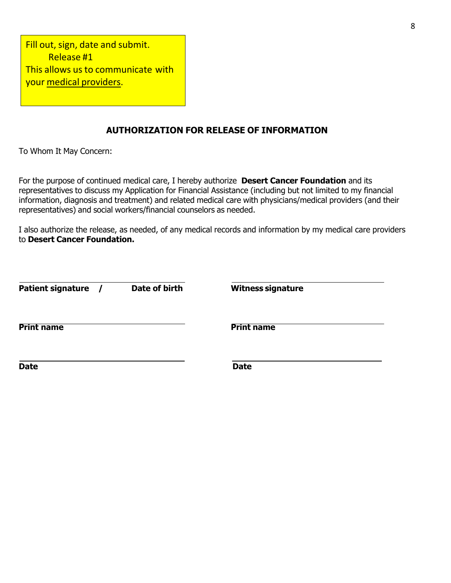| This allows us to communicate with |
|------------------------------------|
|                                    |
|                                    |

## **AUTHORIZATION FOR RELEASE OF INFORMATION**

To Whom It May Concern:

For the purpose of continued medical care, I hereby authorize **Desert Cancer Foundation** and its representatives to discuss my Application for Financial Assistance (including but not limited to my financial information, diagnosis and treatment) and related medical care with physicians/medical providers (and their representatives) and social workers/financial counselors as needed.

I also authorize the release, as needed, of any medical records and information by my medical care providers to **Desert Cancer Foundation.**

| <b>Patient signature</b> | Date of birth | <b>Witness signature</b> |  |
|--------------------------|---------------|--------------------------|--|
| <b>Print name</b>        |               | <b>Print name</b>        |  |
| <b>Date</b>              |               | <b>Date</b>              |  |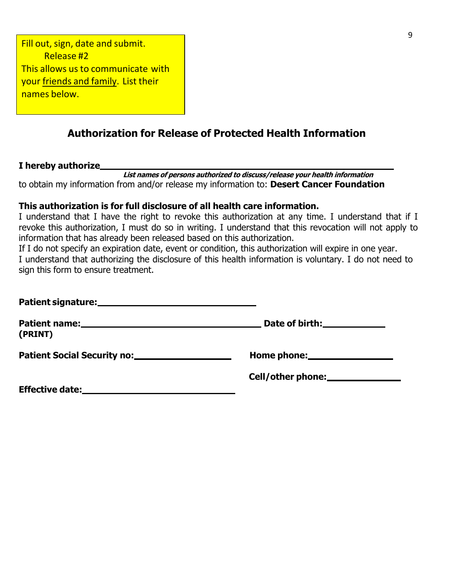Fill out, sign, date and submit. Release #2 This allows us to communicate with your friends and family. List their names below.

# **Authorization for Release of Protected Health Information**

### **I hereby authorize**

 **List names of persons authorized to discuss/release your health information** to obtain my information from and/or release my information to: **Desert Cancer Foundation**

## **This authorization is for full disclosure of all health care information.**

I understand that I have the right to revoke this authorization at any time. I understand that if I revoke this authorization, I must do so in writing. I understand that this revocation will not apply to information that has already been released based on this authorization.

If I do not specify an expiration date, event or condition, this authorization will expire in one year. I understand that authorizing the disclosure of this health information is voluntary. I do not need to sign this form to ensure treatment.

| (PRINT) | Date of birth: <u>_______________</u> |
|---------|---------------------------------------|
|         | Home phone:                           |
|         |                                       |
|         |                                       |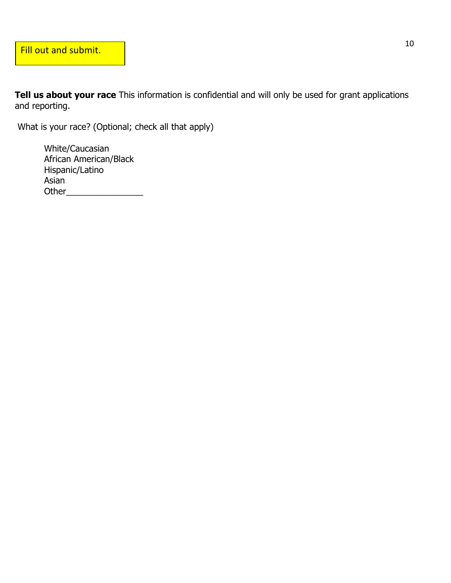**Tell us about your race** This information is confidential and will only be used for grant applications and reporting.

What is your race? (Optional; check all that apply)

 White/Caucasian African American/Black Hispanic/Latino Asian Other\_\_\_\_\_\_\_\_\_\_\_\_\_\_\_\_